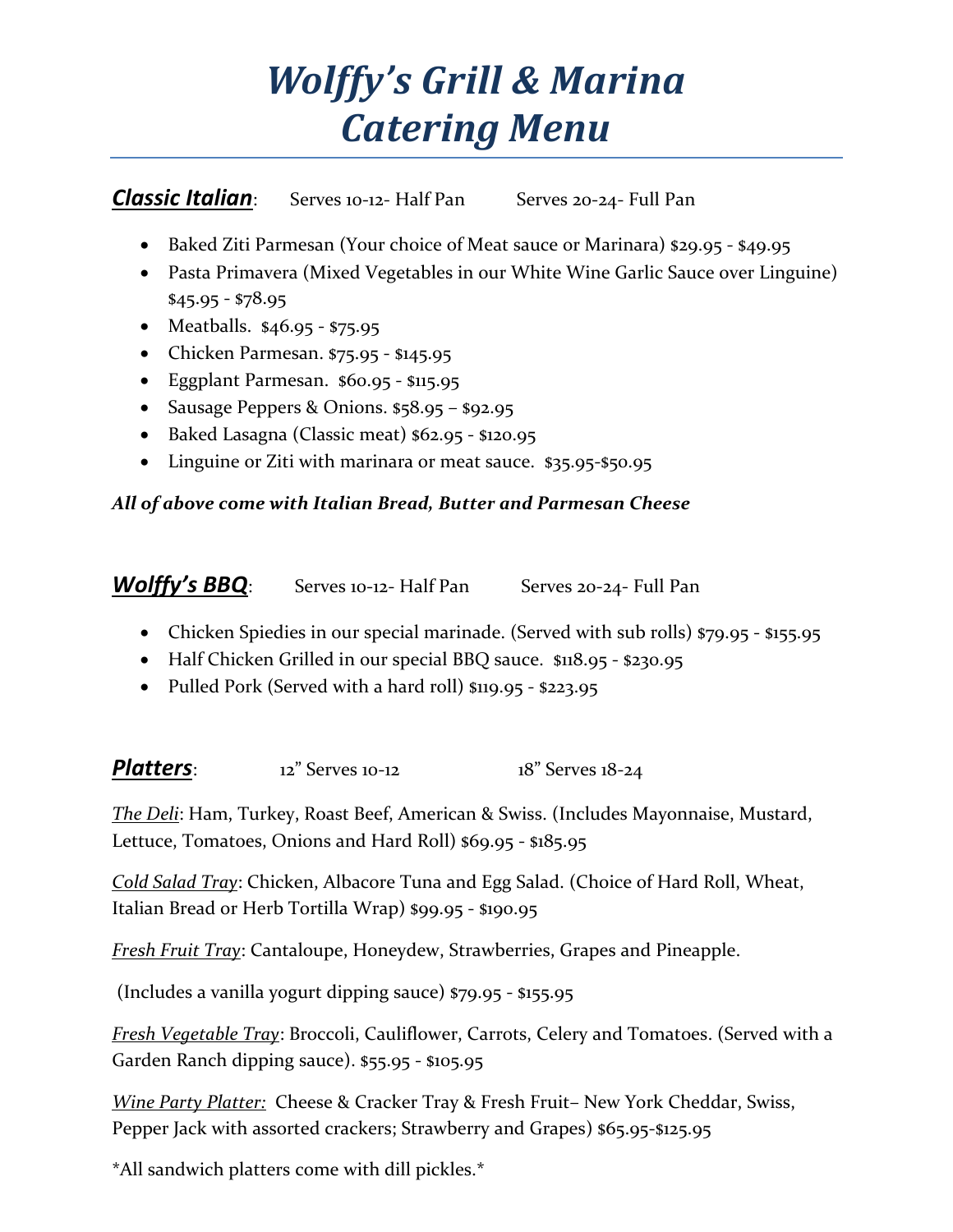## *Wolffy's Grill & Marina Catering Menu*

**Classic Italian**: Serves 10-12- Half Pan Serves 20-24- Full Pan

- Baked Ziti Parmesan (Your choice of Meat sauce or Marinara) \$29.95 \$49.95
- Pasta Primavera (Mixed Vegetables in our White Wine Garlic Sauce over Linguine) \$45.95 - \$78.95
- Meatballs. \$46.95 \$75.95
- Chicken Parmesan. \$75.95 \$145.95
- Eggplant Parmesan. \$60.95 \$115.95
- Sausage Peppers & Onions. \$58.95 \$92.95
- Baked Lasagna (Classic meat) \$62.95 \$120.95
- Linguine or Ziti with marinara or meat sauce. \$35.95-\$50.95

## *All of above come with Italian Bread, Butter and Parmesan Cheese*

*Wolffy's BBQ*: Serves 10-12- Half Pan Serves 20-24- Full Pan

- Chicken Spiedies in our special marinade. (Served with sub rolls) \$79.95 \$155.95
- Half Chicken Grilled in our special BBQ sauce. \$118.95 \$230.95
- Pulled Pork (Served with a hard roll) \$119.95 \$223.95

**Platters**: 12<sup>"</sup> Serves 10-12 18<sup>"</sup> Serves 18-24

*The Deli*: Ham, Turkey, Roast Beef, American & Swiss. (Includes Mayonnaise, Mustard, Lettuce, Tomatoes, Onions and Hard Roll) \$69.95 - \$185.95

*Cold Salad Tray*: Chicken, Albacore Tuna and Egg Salad. (Choice of Hard Roll, Wheat, Italian Bread or Herb Tortilla Wrap) \$99.95 - \$190.95

*Fresh Fruit Tray*: Cantaloupe, Honeydew, Strawberries, Grapes and Pineapple.

(Includes a vanilla yogurt dipping sauce) \$79.95 - \$155.95

*Fresh Vegetable Tray*: Broccoli, Cauliflower, Carrots, Celery and Tomatoes. (Served with a Garden Ranch dipping sauce). \$55.95 - \$105.95

*Wine Party Platter:* Cheese & Cracker Tray & Fresh Fruit– New York Cheddar, Swiss, Pepper Jack with assorted crackers; Strawberry and Grapes) \$65.95-\$125.95

\*All sandwich platters come with dill pickles.\*